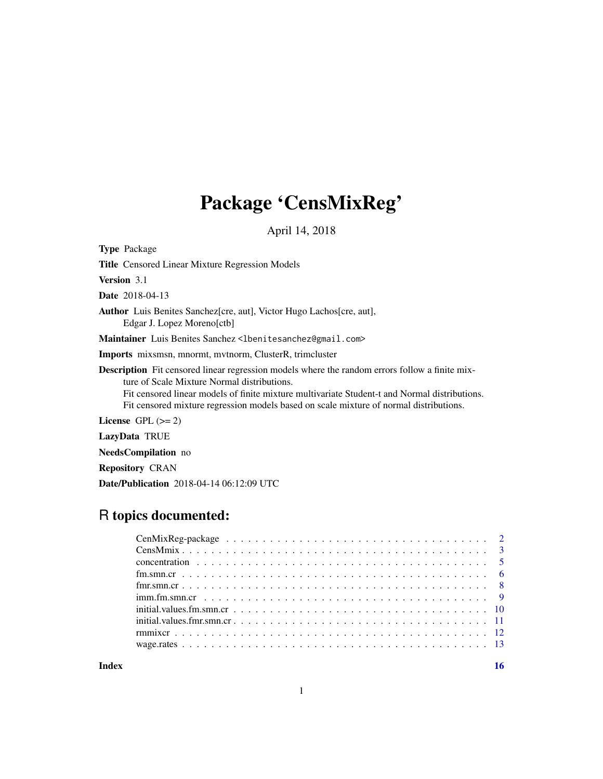# Package 'CensMixReg'

April 14, 2018

Title Censored Linear Mixture Regression Models Version 3.1 Date 2018-04-13

Author Luis Benites Sanchez[cre, aut], Victor Hugo Lachos[cre, aut], Edgar J. Lopez Moreno[ctb]

Maintainer Luis Benites Sanchez <lbenitesanchez@gmail.com>

Imports mixsmsn, mnormt, mvtnorm, ClusterR, trimcluster

Description Fit censored linear regression models where the random errors follow a finite mixture of Scale Mixture Normal distributions.

Fit censored linear models of finite mixture multivariate Student-t and Normal distributions. Fit censored mixture regression models based on scale mixture of normal distributions.

License  $GPL (= 2)$ 

LazyData TRUE

<span id="page-0-0"></span>Type Package

NeedsCompilation no

Repository CRAN

Date/Publication 2018-04-14 06:12:09 UTC

# R topics documented:

**Index** the contract of the contract of the contract of the contract of the contract of the contract of the contract of the contract of the contract of the contract of the contract of the contract of the contract of the co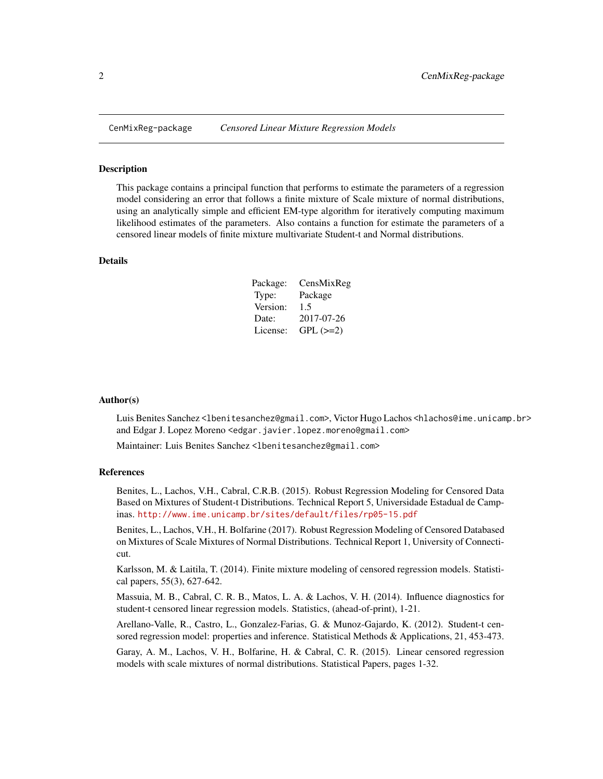<span id="page-1-0"></span>

#### Description

This package contains a principal function that performs to estimate the parameters of a regression model considering an error that follows a finite mixture of Scale mixture of normal distributions, using an analytically simple and efficient EM-type algorithm for iteratively computing maximum likelihood estimates of the parameters. Also contains a function for estimate the parameters of a censored linear models of finite mixture multivariate Student-t and Normal distributions.

#### Details

| Package: | CensMixReg |
|----------|------------|
| Type:    | Package    |
| Version: | 1.5        |
| Date:    | 2017-07-26 |
| License: | $GPL (=2)$ |

#### Author(s)

Luis Benites Sanchez <lbenitesanchez@gmail.com>, Victor Hugo Lachos <hlachos@ime.unicamp.br> and Edgar J. Lopez Moreno <edgar.javier.lopez.moreno@gmail.com>

Maintainer: Luis Benites Sanchez <lbenitesanchez@gmail.com>

#### References

Benites, L., Lachos, V.H., Cabral, C.R.B. (2015). Robust Regression Modeling for Censored Data Based on Mixtures of Student-t Distributions. Technical Report 5, Universidade Estadual de Campinas. <http://www.ime.unicamp.br/sites/default/files/rp05-15.pdf>

Benites, L., Lachos, V.H., H. Bolfarine (2017). Robust Regression Modeling of Censored Databased on Mixtures of Scale Mixtures of Normal Distributions. Technical Report 1, University of Connecticut.

Karlsson, M. & Laitila, T. (2014). Finite mixture modeling of censored regression models. Statistical papers, 55(3), 627-642.

Massuia, M. B., Cabral, C. R. B., Matos, L. A. & Lachos, V. H. (2014). Influence diagnostics for student-t censored linear regression models. Statistics, (ahead-of-print), 1-21.

Arellano-Valle, R., Castro, L., Gonzalez-Farias, G. & Munoz-Gajardo, K. (2012). Student-t censored regression model: properties and inference. Statistical Methods & Applications, 21, 453-473.

Garay, A. M., Lachos, V. H., Bolfarine, H. & Cabral, C. R. (2015). Linear censored regression models with scale mixtures of normal distributions. Statistical Papers, pages 1-32.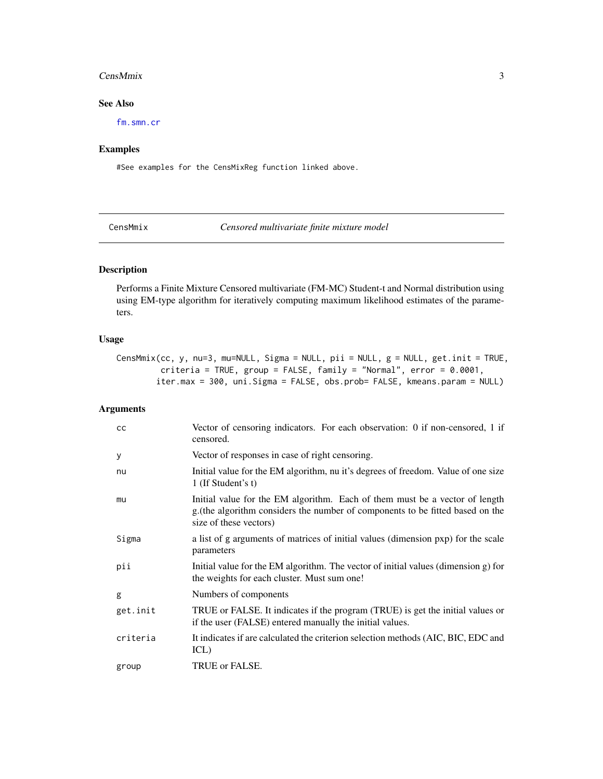#### <span id="page-2-0"></span>CensMmix 3

# See Also

[fm.smn.cr](#page-5-1)

# Examples

#See examples for the CensMixReg function linked above.

<span id="page-2-1"></span>CensMmix *Censored multivariate finite mixture model*

# Description

Performs a Finite Mixture Censored multivariate (FM-MC) Student-t and Normal distribution using using EM-type algorithm for iteratively computing maximum likelihood estimates of the parameters.

# Usage

CensMmix(cc, y, nu=3, mu=NULL, Sigma = NULL, pii = NULL, g = NULL, get.init = TRUE, criteria = TRUE, group = FALSE, family = "Normal", error = 0.0001, iter.max = 300, uni.Sigma = FALSE, obs.prob= FALSE, kmeans.param = NULL)

# Arguments

| cc       | Vector of censoring indicators. For each observation: 0 if non-censored, 1 if<br>censored.                                                                                              |
|----------|-----------------------------------------------------------------------------------------------------------------------------------------------------------------------------------------|
| У        | Vector of responses in case of right censoring.                                                                                                                                         |
| nu       | Initial value for the EM algorithm, nu it's degrees of freedom. Value of one size<br>1 (If Student's t)                                                                                 |
| mu       | Initial value for the EM algorithm. Each of them must be a vector of length<br>g. (the algorithm considers the number of components to be fitted based on the<br>size of these vectors) |
| Sigma    | a list of g arguments of matrices of initial values (dimension pxp) for the scale<br>parameters                                                                                         |
| pii      | Initial value for the EM algorithm. The vector of initial values (dimension g) for<br>the weights for each cluster. Must sum one!                                                       |
| g        | Numbers of components                                                                                                                                                                   |
| get.init | TRUE or FALSE. It indicates if the program (TRUE) is get the initial values or<br>if the user (FALSE) entered manually the initial values.                                              |
| criteria | It indicates if are calculated the criterion selection methods (AIC, BIC, EDC and<br>ICL)                                                                                               |
| group    | TRUE or FALSE.                                                                                                                                                                          |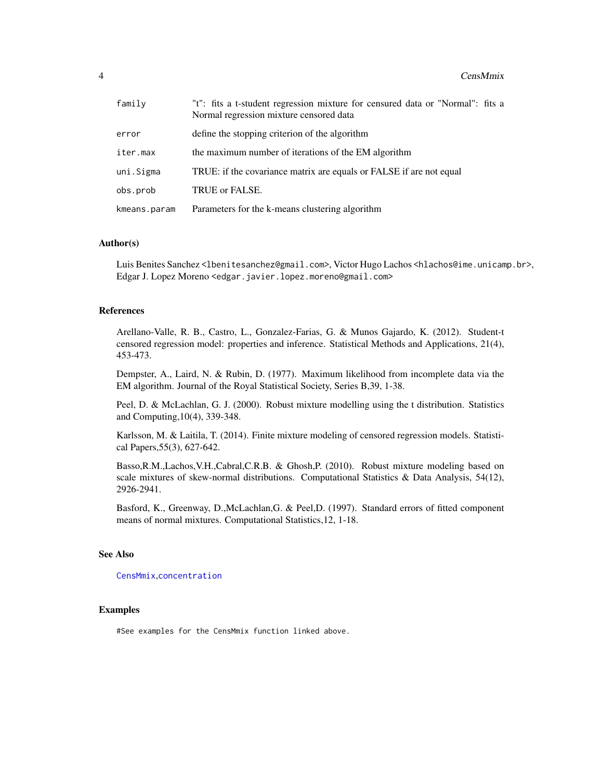<span id="page-3-0"></span>

| family       | "t": fits a t-student regression mixture for censured data or "Normal": fits a<br>Normal regression mixture censored data |
|--------------|---------------------------------------------------------------------------------------------------------------------------|
| error        | define the stopping criterion of the algorithm                                                                            |
| iter.max     | the maximum number of iterations of the EM algorithm                                                                      |
| uni.Sigma    | TRUE: if the covariance matrix are equals or FALSE if are not equal                                                       |
| obs.prob     | TRUE or FALSE.                                                                                                            |
| kmeans.param | Parameters for the k-means clustering algorithm                                                                           |

#### Author(s)

Luis Benites Sanchez <lbenitesanchez@gmail.com>, Victor Hugo Lachos <hlachos@ime.unicamp.br>, Edgar J. Lopez Moreno <edgar.javier.lopez.moreno@gmail.com>

#### References

Arellano-Valle, R. B., Castro, L., Gonzalez-Farias, G. & Munos Gajardo, K. (2012). Student-t censored regression model: properties and inference. Statistical Methods and Applications, 21(4), 453-473.

Dempster, A., Laird, N. & Rubin, D. (1977). Maximum likelihood from incomplete data via the EM algorithm. Journal of the Royal Statistical Society, Series B,39, 1-38.

Peel, D. & McLachlan, G. J. (2000). Robust mixture modelling using the t distribution. Statistics and Computing,10(4), 339-348.

Karlsson, M. & Laitila, T. (2014). Finite mixture modeling of censored regression models. Statistical Papers,55(3), 627-642.

Basso,R.M.,Lachos,V.H.,Cabral,C.R.B. & Ghosh,P. (2010). Robust mixture modeling based on scale mixtures of skew-normal distributions. Computational Statistics & Data Analysis, 54(12), 2926-2941.

Basford, K., Greenway, D.,McLachlan,G. & Peel,D. (1997). Standard errors of fitted component means of normal mixtures. Computational Statistics,12, 1-18.

#### See Also

[CensMmix](#page-2-1),[concentration](#page-4-1)

#### Examples

#See examples for the CensMmix function linked above.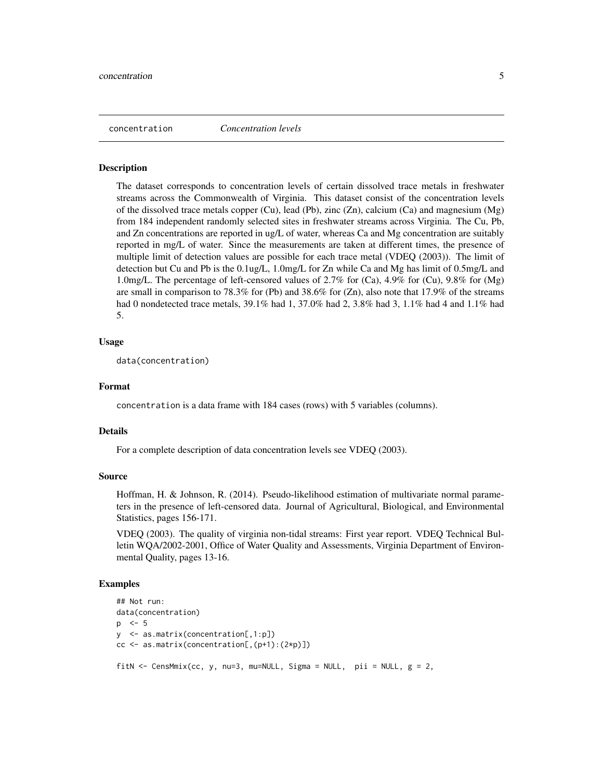<span id="page-4-1"></span><span id="page-4-0"></span>concentration *Concentration levels*

#### **Description**

The dataset corresponds to concentration levels of certain dissolved trace metals in freshwater streams across the Commonwealth of Virginia. This dataset consist of the concentration levels of the dissolved trace metals copper (Cu), lead (Pb), zinc (Zn), calcium (Ca) and magnesium (Mg) from 184 independent randomly selected sites in freshwater streams across Virginia. The Cu, Pb, and Zn concentrations are reported in ug/L of water, whereas Ca and Mg concentration are suitably reported in mg/L of water. Since the measurements are taken at different times, the presence of multiple limit of detection values are possible for each trace metal (VDEQ (2003)). The limit of detection but Cu and Pb is the 0.1ug/L, 1.0mg/L for Zn while Ca and Mg has limit of 0.5mg/L and 1.0mg/L. The percentage of left-censored values of 2.7% for (Ca), 4.9% for (Cu), 9.8% for (Mg) are small in comparison to 78.3% for (Pb) and 38.6% for  $(Zn)$ , also note that 17.9% of the streams had 0 nondetected trace metals, 39.1% had 1, 37.0% had 2, 3.8% had 3, 1.1% had 4 and 1.1% had 5.

#### Usage

data(concentration)

#### Format

concentration is a data frame with 184 cases (rows) with 5 variables (columns).

#### Details

For a complete description of data concentration levels see VDEQ (2003).

#### Source

Hoffman, H. & Johnson, R. (2014). Pseudo-likelihood estimation of multivariate normal parameters in the presence of left-censored data. Journal of Agricultural, Biological, and Environmental Statistics, pages 156-171.

VDEQ (2003). The quality of virginia non-tidal streams: First year report. VDEQ Technical Bulletin WQA/2002-2001, Office of Water Quality and Assessments, Virginia Department of Environmental Quality, pages 13-16.

# Examples

```
## Not run:
data(concentration)
p <- 5
y <- as.matrix(concentration[,1:p])
cc <- as.matrix(concentration[,(p+1):(2*p)])
fitN <- CensMmix(cc, y, nu=3, mu=NULL, Sigma = NULL, pii = NULL, g = 2,
```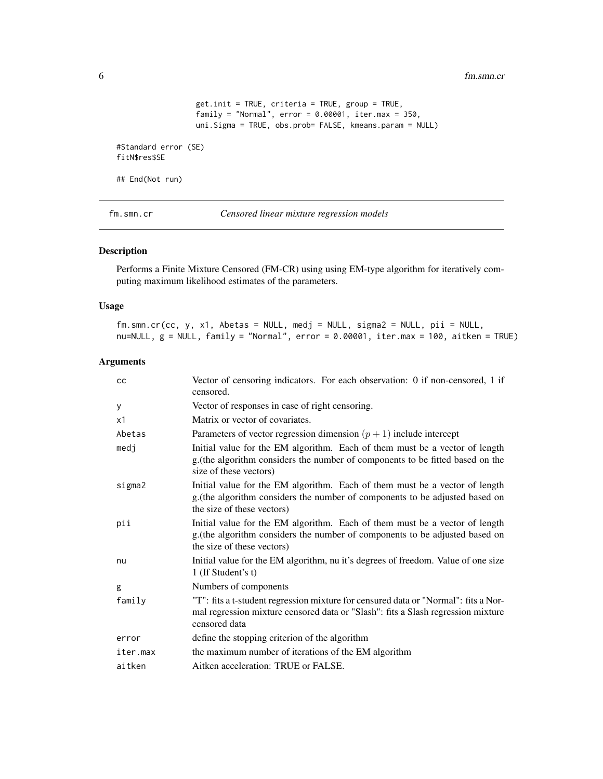<span id="page-5-0"></span>6 fm.smn.cr

```
get.init = TRUE, criteria = TRUE, group = TRUE,
                  family = "Normal", error = 0.00001, iter.max = 350,
                 uni.Sigma = TRUE, obs.prob= FALSE, kmeans.param = NULL)
#Standard error (SE)
fitN$res$SE
## End(Not run)
```
<span id="page-5-1"></span>fm.smn.cr *Censored linear mixture regression models*

# Description

Performs a Finite Mixture Censored (FM-CR) using using EM-type algorithm for iteratively computing maximum likelihood estimates of the parameters.

#### Usage

fm.smn.cr(cc, y, x1, Abetas = NULL, medj = NULL, sigma2 = NULL, pii = NULL, nu=NULL,  $g =$  NULL, family = "Normal", error = 0.00001, iter.max = 100, aitken = TRUE)

# Arguments

| cc       | Vector of censoring indicators. For each observation: 0 if non-censored, 1 if<br>censored.                                                                                                |
|----------|-------------------------------------------------------------------------------------------------------------------------------------------------------------------------------------------|
| У        | Vector of responses in case of right censoring.                                                                                                                                           |
| x1       | Matrix or vector of covariates.                                                                                                                                                           |
| Abetas   | Parameters of vector regression dimension $(p + 1)$ include intercept                                                                                                                     |
| medj     | Initial value for the EM algorithm. Each of them must be a vector of length<br>g. (the algorithm considers the number of components to be fitted based on the<br>size of these vectors)   |
| sigma2   | Initial value for the EM algorithm. Each of them must be a vector of length<br>g. (the algorithm considers the number of components to be adjusted based on<br>the size of these vectors) |
| pii      | Initial value for the EM algorithm. Each of them must be a vector of length<br>g. (the algorithm considers the number of components to be adjusted based on<br>the size of these vectors) |
| nu       | Initial value for the EM algorithm, nu it's degrees of freedom. Value of one size<br>1 (If Student's t)                                                                                   |
| g        | Numbers of components                                                                                                                                                                     |
| family   | "T": fits a t-student regression mixture for censured data or "Normal": fits a Nor-<br>mal regression mixture censored data or "Slash": fits a Slash regression mixture<br>censored data  |
| error    | define the stopping criterion of the algorithm                                                                                                                                            |
| iter.max | the maximum number of iterations of the EM algorithm                                                                                                                                      |
| aitken   | Aitken acceleration: TRUE or FALSE.                                                                                                                                                       |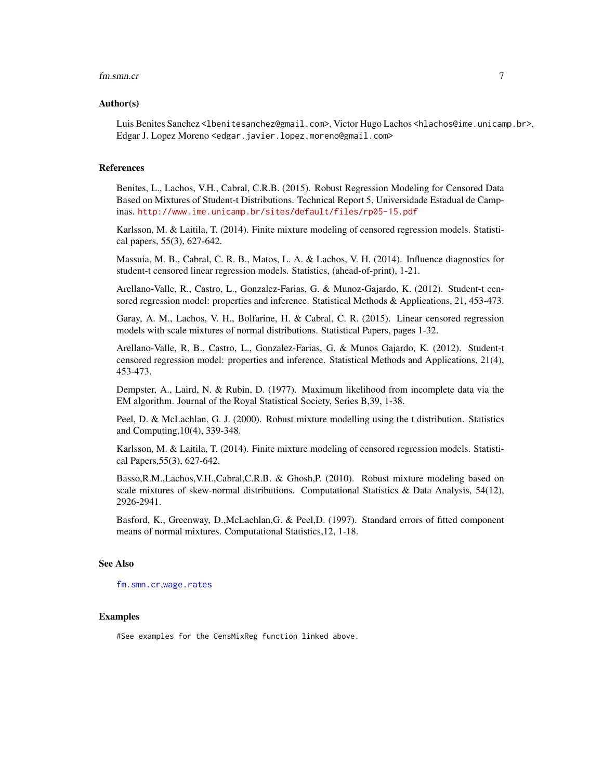#### <span id="page-6-0"></span>fm.smn.cr 7

#### Author(s)

Luis Benites Sanchez <lbenitesanchez@gmail.com>, Victor Hugo Lachos <hlachos@ime.unicamp.br>, Edgar J. Lopez Moreno <edgar.javier.lopez.moreno@gmail.com>

#### References

Benites, L., Lachos, V.H., Cabral, C.R.B. (2015). Robust Regression Modeling for Censored Data Based on Mixtures of Student-t Distributions. Technical Report 5, Universidade Estadual de Campinas. <http://www.ime.unicamp.br/sites/default/files/rp05-15.pdf>

Karlsson, M. & Laitila, T. (2014). Finite mixture modeling of censored regression models. Statistical papers, 55(3), 627-642.

Massuia, M. B., Cabral, C. R. B., Matos, L. A. & Lachos, V. H. (2014). Influence diagnostics for student-t censored linear regression models. Statistics, (ahead-of-print), 1-21.

Arellano-Valle, R., Castro, L., Gonzalez-Farias, G. & Munoz-Gajardo, K. (2012). Student-t censored regression model: properties and inference. Statistical Methods & Applications, 21, 453-473.

Garay, A. M., Lachos, V. H., Bolfarine, H. & Cabral, C. R. (2015). Linear censored regression models with scale mixtures of normal distributions. Statistical Papers, pages 1-32.

Arellano-Valle, R. B., Castro, L., Gonzalez-Farias, G. & Munos Gajardo, K. (2012). Student-t censored regression model: properties and inference. Statistical Methods and Applications, 21(4), 453-473.

Dempster, A., Laird, N. & Rubin, D. (1977). Maximum likelihood from incomplete data via the EM algorithm. Journal of the Royal Statistical Society, Series B,39, 1-38.

Peel, D. & McLachlan, G. J. (2000). Robust mixture modelling using the t distribution. Statistics and Computing,10(4), 339-348.

Karlsson, M. & Laitila, T. (2014). Finite mixture modeling of censored regression models. Statistical Papers,55(3), 627-642.

Basso,R.M.,Lachos,V.H.,Cabral,C.R.B. & Ghosh,P. (2010). Robust mixture modeling based on scale mixtures of skew-normal distributions. Computational Statistics & Data Analysis,  $54(12)$ , 2926-2941.

Basford, K., Greenway, D.,McLachlan,G. & Peel,D. (1997). Standard errors of fitted component means of normal mixtures. Computational Statistics,12, 1-18.

#### See Also

[fm.smn.cr](#page-5-1),[wage.rates](#page-12-1)

#### Examples

#See examples for the CensMixReg function linked above.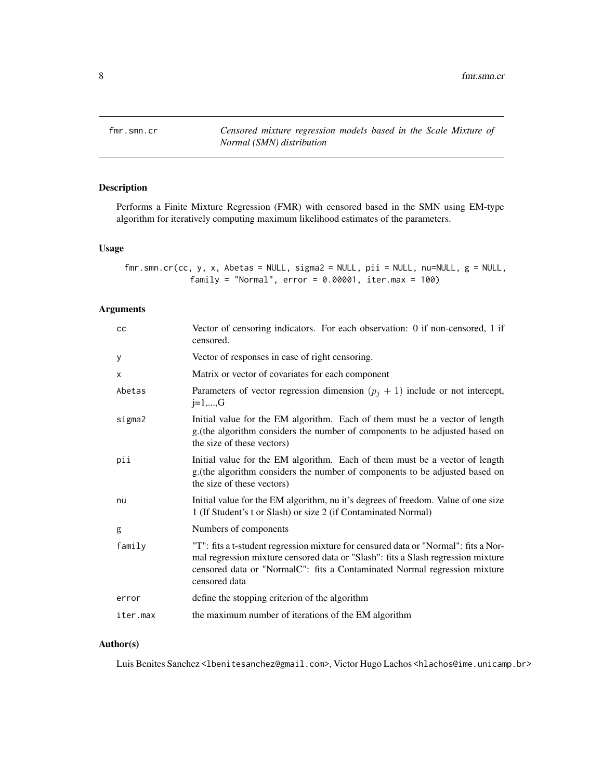<span id="page-7-1"></span><span id="page-7-0"></span>

# Description

Performs a Finite Mixture Regression (FMR) with censored based in the SMN using EM-type algorithm for iteratively computing maximum likelihood estimates of the parameters.

## Usage

```
fmr.smn.cr(cc, y, x, Abetas = NULL, sigma2 = NULL, pii = NULL, nu=NULL, g = NULL,
             family = "Normal", error = 0.00001, iter.max = 100)
```
# Arguments

| cc       | Vector of censoring indicators. For each observation: 0 if non-censored, 1 if<br>censored.                                                                                                                                                                            |
|----------|-----------------------------------------------------------------------------------------------------------------------------------------------------------------------------------------------------------------------------------------------------------------------|
| у        | Vector of responses in case of right censoring.                                                                                                                                                                                                                       |
| X        | Matrix or vector of covariates for each component                                                                                                                                                                                                                     |
| Abetas   | Parameters of vector regression dimension $(p_i + 1)$ include or not intercept,<br>$j=1,,G$                                                                                                                                                                           |
| sigma2   | Initial value for the EM algorithm. Each of them must be a vector of length<br>g. (the algorithm considers the number of components to be adjusted based on<br>the size of these vectors)                                                                             |
| pii      | Initial value for the EM algorithm. Each of them must be a vector of length<br>g. (the algorithm considers the number of components to be adjusted based on<br>the size of these vectors)                                                                             |
| nu       | Initial value for the EM algorithm, nu it's degrees of freedom. Value of one size<br>1 (If Student's t or Slash) or size 2 (if Contaminated Normal)                                                                                                                   |
| g        | Numbers of components                                                                                                                                                                                                                                                 |
| family   | "T": fits a t-student regression mixture for censured data or "Normal": fits a Nor-<br>mal regression mixture censored data or "Slash": fits a Slash regression mixture<br>censored data or "NormalC": fits a Contaminated Normal regression mixture<br>censored data |
| error    | define the stopping criterion of the algorithm                                                                                                                                                                                                                        |
| iter.max | the maximum number of iterations of the EM algorithm                                                                                                                                                                                                                  |

# Author(s)

Luis Benites Sanchez<lbenitesanchez@gmail.com>, Victor Hugo Lachos <hlachos@ime.unicamp.br>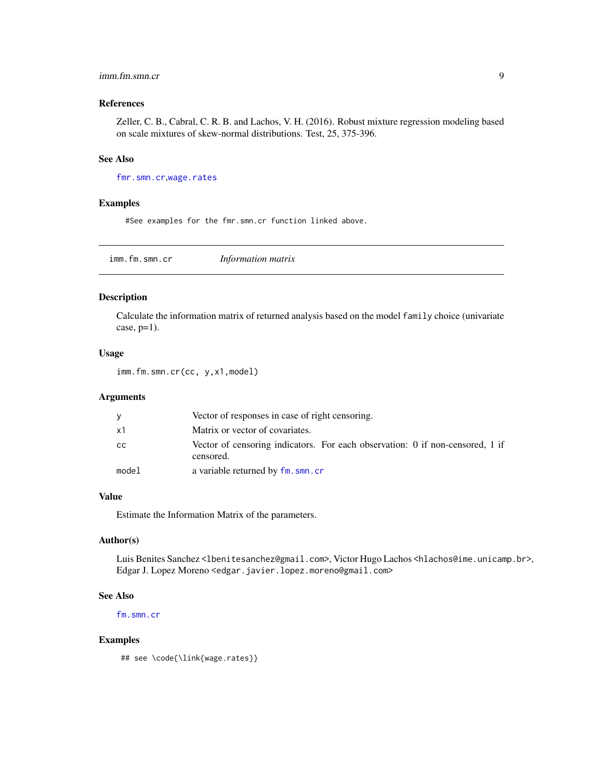# <span id="page-8-0"></span>imm.fm.smn.cr 9

# References

Zeller, C. B., Cabral, C. R. B. and Lachos, V. H. (2016). Robust mixture regression modeling based on scale mixtures of skew-normal distributions. Test, 25, 375-396.

# See Also

[fmr.smn.cr](#page-7-1),[wage.rates](#page-12-1)

#### Examples

#See examples for the fmr.smn.cr function linked above.

imm.fm.smn.cr *Information matrix*

# Description

Calculate the information matrix of returned analysis based on the model family choice (univariate case,  $p=1$ ).

#### Usage

imm.fm.smn.cr(cc, y,x1,model)

#### Arguments

|               | Vector of responses in case of right censoring.                                            |
|---------------|--------------------------------------------------------------------------------------------|
| x1            | Matrix or vector of covariates.                                                            |
| <sub>CC</sub> | Vector of censoring indicators. For each observation: 0 if non-censored, 1 if<br>censored. |
| model         | a variable returned by fm. smn. cr                                                         |

#### Value

Estimate the Information Matrix of the parameters.

# Author(s)

Luis Benites Sanchez<lbenitesanchez@gmail.com>, Victor Hugo Lachos <hlachos@ime.unicamp.br>, Edgar J. Lopez Moreno <edgar.javier.lopez.moreno@gmail.com>

#### See Also

[fm.smn.cr](#page-5-1)

#### Examples

## see \code{\link{wage.rates}}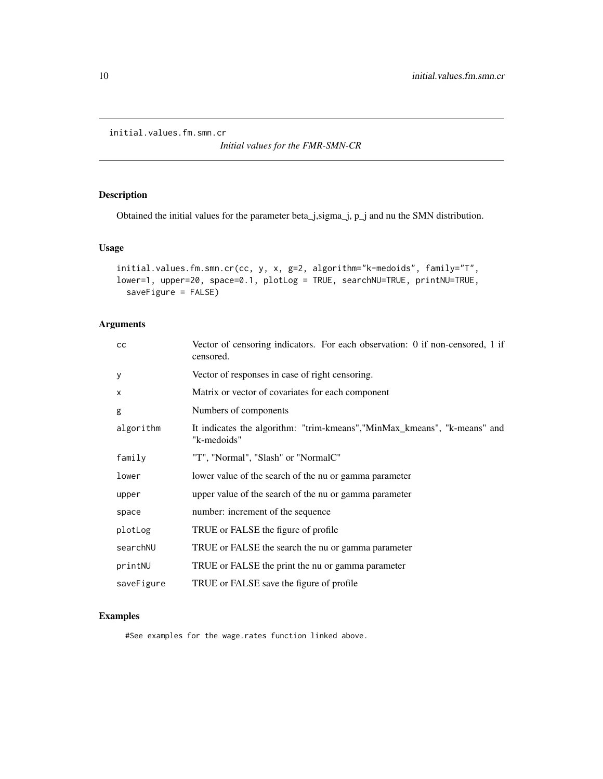<span id="page-9-0"></span>initial.values.fm.smn.cr

*Initial values for the FMR-SMN-CR*

# Description

Obtained the initial values for the parameter beta\_j,sigma\_j, p\_j and nu the SMN distribution.

# Usage

```
initial.values.fm.smn.cr(cc, y, x, g=2, algorithm="k-medoids", family="T",
lower=1, upper=20, space=0.1, plotLog = TRUE, searchNU=TRUE, printNU=TRUE,
 saveFigure = FALSE)
```
# Arguments

| Vector of censoring indicators. For each observation: 0 if non-censored, 1 if<br>censored. |
|--------------------------------------------------------------------------------------------|
| Vector of responses in case of right censoring.                                            |
| Matrix or vector of covariates for each component                                          |
| Numbers of components                                                                      |
| It indicates the algorithm: "trim-kmeans", "MinMax_kmeans", "k-means" and<br>"k-medoids"   |
| "T", "Normal", "Slash" or "NormalC"                                                        |
| lower value of the search of the nu or gamma parameter                                     |
| upper value of the search of the nu or gamma parameter                                     |
| number: increment of the sequence                                                          |
| TRUE or FALSE the figure of profile.                                                       |
| TRUE or FALSE the search the nu or gamma parameter                                         |
| TRUE or FALSE the print the nu or gamma parameter                                          |
| TRUE or FALSE save the figure of profile                                                   |
|                                                                                            |

# Examples

#See examples for the wage.rates function linked above.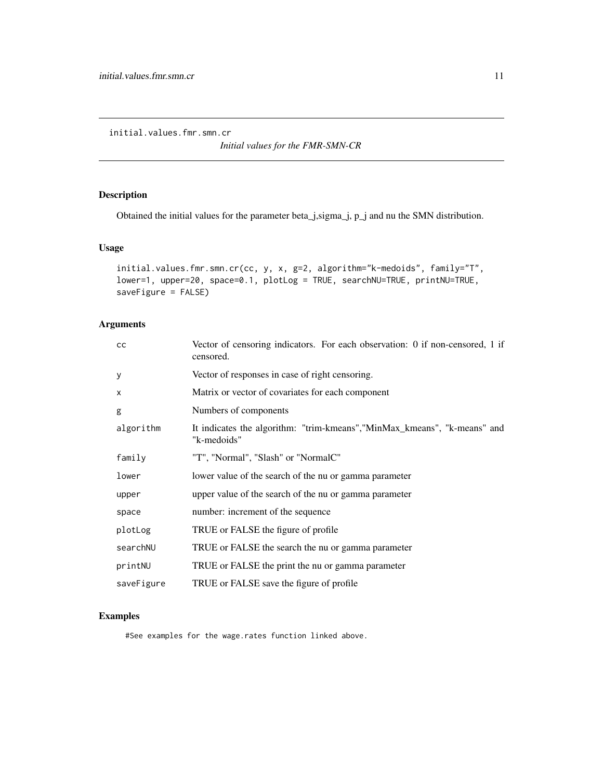<span id="page-10-0"></span>initial.values.fmr.smn.cr

*Initial values for the FMR-SMN-CR*

# Description

Obtained the initial values for the parameter beta\_j,sigma\_j, p\_j and nu the SMN distribution.

# Usage

```
initial.values.fmr.smn.cr(cc, y, x, g=2, algorithm="k-medoids", family="T",
lower=1, upper=20, space=0.1, plotLog = TRUE, searchNU=TRUE, printNU=TRUE,
saveFigure = FALSE)
```
# Arguments

| cc         | Vector of censoring indicators. For each observation: 0 if non-censored, 1 if<br>censored. |
|------------|--------------------------------------------------------------------------------------------|
| У          | Vector of responses in case of right censoring.                                            |
| X          | Matrix or vector of covariates for each component                                          |
| g          | Numbers of components                                                                      |
| algorithm  | It indicates the algorithm: "trim-kmeans", "MinMax_kmeans", "k-means" and<br>"k-medoids"   |
| family     | "T", "Normal", "Slash" or "NormalC"                                                        |
| lower      | lower value of the search of the nu or gamma parameter                                     |
| upper      | upper value of the search of the nu or gamma parameter                                     |
| space      | number: increment of the sequence                                                          |
| plotLog    | TRUE or FALSE the figure of profile                                                        |
| searchNU   | TRUE or FALSE the search the nu or gamma parameter                                         |
| printNU    | TRUE or FALSE the print the nu or gamma parameter                                          |
| saveFigure | TRUE or FALSE save the figure of profile                                                   |

# Examples

#See examples for the wage.rates function linked above.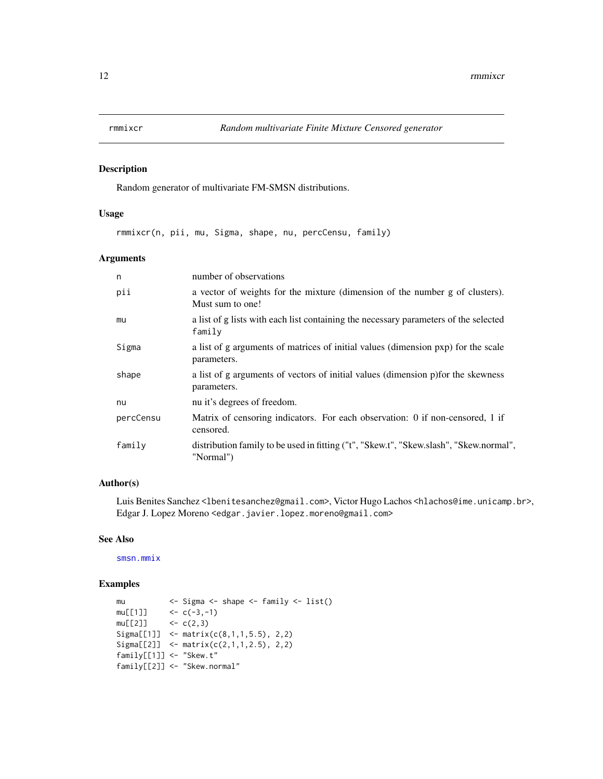<span id="page-11-0"></span>

# Description

Random generator of multivariate FM-SMSN distributions.

## Usage

rmmixcr(n, pii, mu, Sigma, shape, nu, percCensu, family)

# Arguments

| n         | number of observations                                                                              |
|-----------|-----------------------------------------------------------------------------------------------------|
| pii       | a vector of weights for the mixture (dimension of the number g of clusters).<br>Must sum to one!    |
| mu        | a list of g lists with each list containing the necessary parameters of the selected<br>family      |
| Sigma     | a list of g arguments of matrices of initial values (dimension pxp) for the scale<br>parameters.    |
| shape     | a list of g arguments of vectors of initial values (dimension p) for the skewness<br>parameters.    |
| nu        | nu it's degrees of freedom.                                                                         |
| percCensu | Matrix of censoring indicators. For each observation: 0 if non-censored, 1 if<br>censored.          |
| family    | distribution family to be used in fitting ("t", "Skew.t", "Skew.slash", "Skew.normal",<br>"Normal") |

# Author(s)

Luis Benites Sanchez <lbenitesanchez@gmail.com>, Victor Hugo Lachos <hlachos@ime.unicamp.br>, Edgar J. Lopez Moreno <edgar.javier.lopez.moreno@gmail.com>

### See Also

[smsn.mmix](#page-0-0)

# Examples

```
mu <- Sigma <- shape <- family <- list()
mu[[1]] <- c(-3,-1)
mu[[2]] <- c(2,3)
Sigma[[1]] <- matrix(c(8,1,1,5.5), 2,2)
Sigma[[2]] <- matrix(c(2,1,1,2.5), 2,2)
family[[1]] <- "Skew.t"
family[[2]] <- "Skew.normal"
```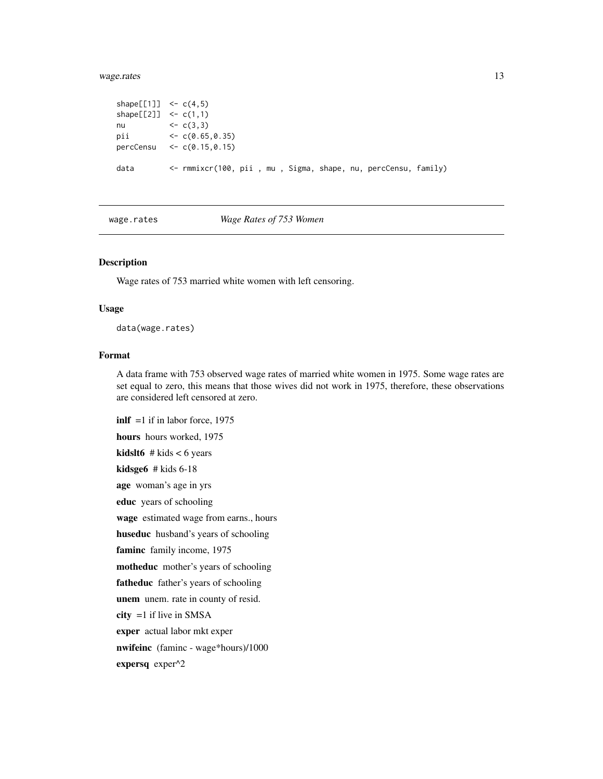# <span id="page-12-0"></span>wage.rates 13

```
shape[[1]] <- c(4,5)shape[[2]] <- c(1,1)
nu <- c(3,3)<br>pii <- c(0.65
           \leftarrow c(0.65, 0.35)percCensu <- c(0.15,0.15)
data <- rmmixcr(100, pii , mu , Sigma, shape, nu, percCensu, family)
```
<span id="page-12-1"></span>wage.rates *Wage Rates of 753 Women*

#### Description

Wage rates of 753 married white women with left censoring.

#### Usage

data(wage.rates)

#### Format

A data frame with 753 observed wage rates of married white women in 1975. Some wage rates are set equal to zero, this means that those wives did not work in 1975, therefore, these observations are considered left censored at zero.

 $\text{inlf} = 1$  if in labor force, 1975 hours hours worked, 1975 **kidslt6** # kids  $< 6$  years kidsge6 # kids 6-18 age woman's age in yrs educ years of schooling wage estimated wage from earns., hours huseduc husband's years of schooling faminc family income, 1975 motheduc mother's years of schooling fatheduc father's years of schooling unem unem. rate in county of resid.  $city =1$  if live in SMSA exper actual labor mkt exper nwifeinc (faminc - wage\*hours)/1000 expersq exper^2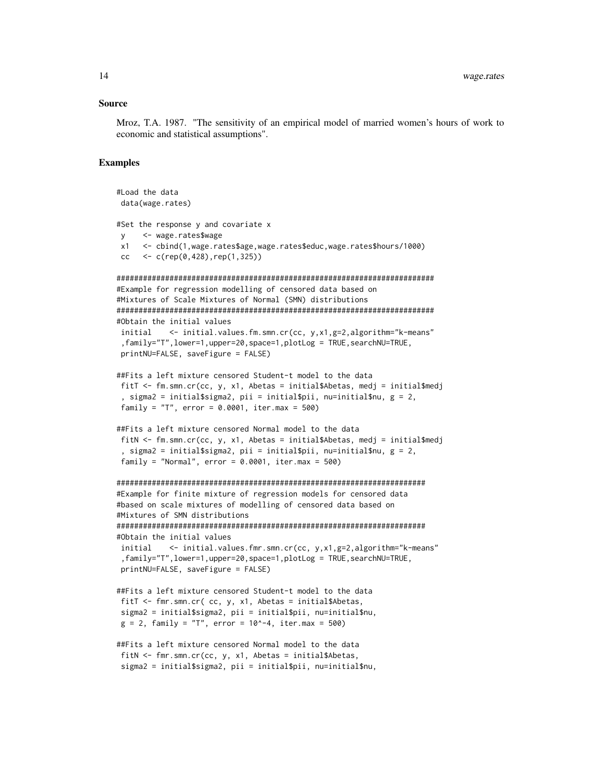#### Source

Mroz, T.A. 1987. "The sensitivity of an empirical model of married women's hours of work to economic and statistical assumptions".

#### Examples

```
#Load the data
data(wage.rates)
#Set the response y and covariate x
y <- wage.rates$wage
x1 <- cbind(1,wage.rates$age,wage.rates$educ,wage.rates$hours/1000)
cc <- c(rep(0,428),rep(1,325))
########################################################################
#Example for regression modelling of censored data based on
#Mixtures of Scale Mixtures of Normal (SMN) distributions
########################################################################
#Obtain the initial values
initial <- initial.values.fm.smn.cr(cc, y,x1,g=2,algorithm="k-means"
 ,family="T",lower=1,upper=20,space=1,plotLog = TRUE,searchNU=TRUE,
printNU=FALSE, saveFigure = FALSE)
##Fits a left mixture censored Student-t model to the data
fitT <- fm.smn.cr(cc, y, x1, Abetas = initial$Abetas, medj = initial$medj
 , sigma2 = initial$sigma2, pii = initial$pii, nu=initial$nu, g = 2,
family = T, error = 0.0001, iter.max = 500)
##Fits a left mixture censored Normal model to the data
fitN <- fm.smn.cr(cc, y, x1, Abetas = initial$Abetas, medj = initial$medj
 , sigma2 = initial$sigma2, pii = initial$pii, nu=initial$nu, g = 2,
family = "Normal", error = 0.0001, iter.max = 500)
######################################################################
#Example for finite mixture of regression models for censored data
#based on scale mixtures of modelling of censored data based on
#Mixtures of SMN distributions
######################################################################
#Obtain the initial values
initial <- initial.values.fmr.smn.cr(cc, y,x1,g=2,algorithm="k-means"
,family="T",lower=1,upper=20,space=1,plotLog = TRUE,searchNU=TRUE,
printNU=FALSE, saveFigure = FALSE)
##Fits a left mixture censored Student-t model to the data
fitT <- fmr.smn.cr( cc, y, x1, Abetas = initial$Abetas,
sigma2 = initial$sigma2, pii = initial$pii, nu=initial$nu,
g = 2, family = "T", error = 10^-4, iter.max = 500)
##Fits a left mixture censored Normal model to the data
fitN <- fmr.smn.cr(cc, y, x1, Abetas = initial$Abetas,
sigma2 = initial$sigma2, pii = initial$pii, nu=initial$nu,
```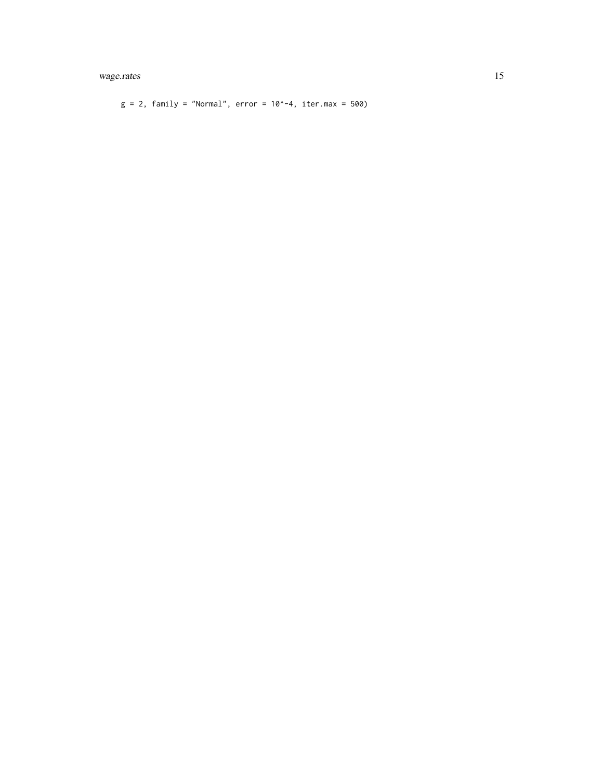# wage.rates 15

 $g = 2$ , family = "Normal", error = 10^-4, iter.max = 500)